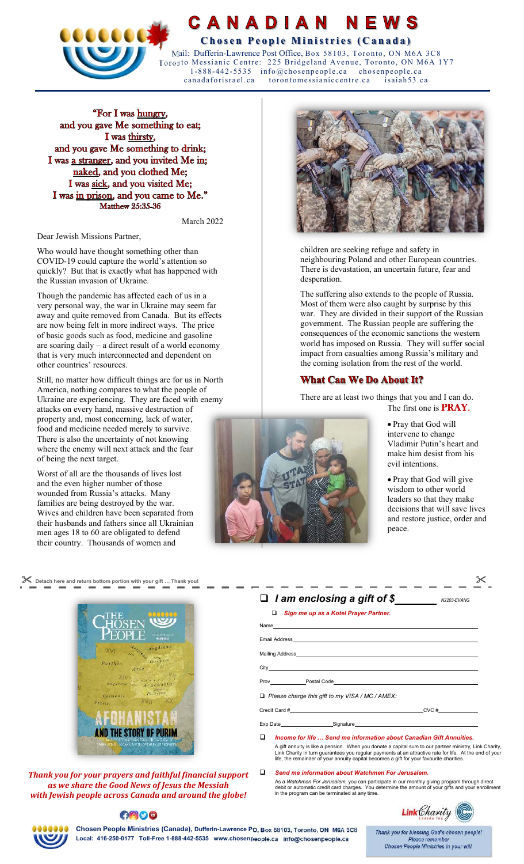

CANADIAN NEWS **COCCERT CHECK CONSTRUCTED COCCERT CONSTRUCTED COLLECTION** 

 Mail: Dufferin-Lawrence Post Office, Box 58103, Toronto, ON M6A 3C8 Toronto Messianic Centre: 225 Bridgeland Avenue, Toronto, ON M6A 1Y7 1-888-442-5535 info@chosenpeople.ca chosenpeople.ca canadaforisrael.ca torontomessianiccentre.ca isaiah53.ca

"For I was hungry, and you gave Me something to eat; I was thirsty, and you gave Me something to drink; I was a stranger, and you invited Me in; naked, and you clothed Me; I was sick, and you visited Me; I was in prison, and you came to Me." **Matthew 25:35-36** 

March 2022

Dear Jewish Missions Partner,

Who would have thought something other than COVID-19 could capture the world's attention so quickly? But that is exactly what has happened with the Russian invasion of Ukraine.

Though the pandemic has affected each of us in a very personal way, the war in Ukraine may seem far away and quite removed from Canada. But its effects are now being felt in more indirect ways. The price of basic goods such as food, medicine and gasoline are soaring daily – a direct result of a world economy that is very much interconnected and dependent on other countries' resources.

Still, no matter how difficult things are for us in North America, nothing compares to what the people of Ukraine are experiencing. They are faced with enemy attacks on every hand, massive destruction of property and, most concerning, lack of water, food and medicine needed merely to survive. There is also the uncertainty of not knowing where the enemy will next attack and the fear of being the next target.

Worst of all are the thousands of lives lost and the even higher number of those wounded from Russia's attacks. Many families are being destroyed by the war. Wives and children have been separated from their husbands and fathers since all Ukrainian men ages 18 to 60 are obligated to defend their country. Thousands of women and



*Thank you for your prayers and faithful financial support as we share the Good News of Jesus the Messiah with Jewish people across Canada and around the globe!* 

**ANOO** 



children are seeking refuge and safety in neighbouring Poland and other European countries. There is devastation, an uncertain future, fear and desperation.

The suffering also extends to the people of Russia. Most of them were also caught by surprise by this war. They are divided in their support of the Russian government. The Russian people are suffering the consequences of the economic sanctions the western world has imposed on Russia. They will suffer social impact from casualties among Russia's military and the coming isolation from the rest of the world.

## **What Can We Do About It?**

There are at least two things that you and I can do. The first one is  $\overline{PRAY}$ .



 Pray that God will intervene to change Vladimir Putin's heart and make him desist from his evil intentions.

 Pray that God will give wisdom to other world leaders so that they make decisions that will save lives and restore justice, order and peace.

| Detach here and return bottom portion with your gift  Thank you! |                                         |             |
|------------------------------------------------------------------|-----------------------------------------|-------------|
|                                                                  | $\Box$ I am enclosing a gift of \$      | N2203-EVANG |
|                                                                  | □ Sign me up as a Kotel Prayer Partner. |             |
|                                                                  | Name                                    |             |
| <b>County Officers</b><br><b>SCOCK NEWS</b>                      | <b>Email Address</b>                    |             |

| <b>Mailing Address</b> |             |  |
|------------------------|-------------|--|
| City                   |             |  |
| Prov                   | Postal Code |  |

*Please charge this gift to my VISA / MC / AMEX:* 

Credit Card # CVC # CVC # CVC # CVC # CVC # CVC # CVC # CVC # CVC # CVC # CVC # CVC # CVC # CVC # CVC # CVC # CVC # CVC # CVC # CVC # CVC # CVC # CVC # CVC # CVC # CVC # CVC # CVC # CVC # CVC # CVC # CVC # CVC # CVC # CVC

Exp Date \_\_\_\_\_\_\_\_\_\_\_\_\_\_\_\_\_\_\_\_\_\_\_\_\_Signature

- *Income for life … Send me information about Canadian Gift Annuities.* A gift annuity is like a pension. When you donate a capital sum to our partner ministry, Link Charity, Link Charity in turn guarantees you regular payments at an attractive rate for life. At the end of your life, the remainder of your annuity capital becomes a gift for your favourite charities.
- *Send me information about Watchmen For Jerusalem.*  As a *Watchman For Jerusalem,* you can participate in our monthly giving program through direct<br>debit or automatic credit card charges. You determine the amount of your gifts and your enrollment<br>in the program can be term



**Chosen People Ministries (Canada), Dufferin-Lawrence PO, Box 58103, Toronto, ON M6A 3C8 Local: 416-250-0177 Toll-Free 1-888-442-5535 www.chosenpeople.ca info@chosenpeople.ca** 

Thank you for blessing God's chosen people! Please remember **Chosen People Ministries in your will.**